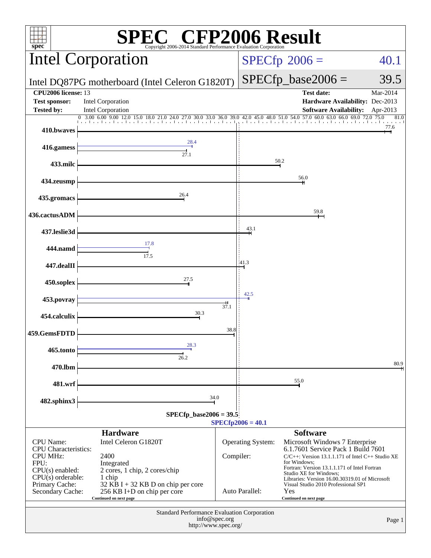| <sup>'®</sup> CFP2006 Result<br>$spec^*$<br>Copyright 2006-2014 Standard Performance Evaluation Corporation                                                  |                                                                                                                                                                                      |           |                                            |                                                                                                                                                                                                                                                                                                                                                   |                      |  |
|--------------------------------------------------------------------------------------------------------------------------------------------------------------|--------------------------------------------------------------------------------------------------------------------------------------------------------------------------------------|-----------|--------------------------------------------|---------------------------------------------------------------------------------------------------------------------------------------------------------------------------------------------------------------------------------------------------------------------------------------------------------------------------------------------------|----------------------|--|
|                                                                                                                                                              | Intel Corporation                                                                                                                                                                    |           | $SPECfp^{\circ}2006 =$                     | 40.1                                                                                                                                                                                                                                                                                                                                              |                      |  |
|                                                                                                                                                              | Intel DQ87PG motherboard (Intel Celeron G1820T)                                                                                                                                      |           | $SPECfp\_base2006 =$                       | 39.5                                                                                                                                                                                                                                                                                                                                              |                      |  |
| <b>CPU2006</b> license: 13<br><b>Test sponsor:</b><br><b>Tested by:</b>                                                                                      | <b>Intel Corporation</b><br><b>Intel Corporation</b>                                                                                                                                 |           |                                            | <b>Test date:</b><br>Hardware Availability: Dec-2013<br><b>Software Availability:</b>                                                                                                                                                                                                                                                             | Mar-2014<br>Apr-2013 |  |
|                                                                                                                                                              | 12.0 15.0 18.0 21.0 24.0 27.0 30.0 33.0 36.0 39.0 42.0 45.0 48.0 51.0 54.0 57.0 60.0 63.0 66.0 69.0 72.0 75.0<br>0, 3.00, 6.00, 9.00<br>and and and and                              |           | .                                          |                                                                                                                                                                                                                                                                                                                                                   | 81.0                 |  |
| 410.bwaves                                                                                                                                                   |                                                                                                                                                                                      |           |                                            |                                                                                                                                                                                                                                                                                                                                                   | 77.6                 |  |
| 416.gamess                                                                                                                                                   | 28.4<br>27.1                                                                                                                                                                         |           |                                            |                                                                                                                                                                                                                                                                                                                                                   |                      |  |
| 433.milc                                                                                                                                                     |                                                                                                                                                                                      |           |                                            | 50.2                                                                                                                                                                                                                                                                                                                                              |                      |  |
| 434.zeusmp                                                                                                                                                   |                                                                                                                                                                                      |           |                                            | 56.0                                                                                                                                                                                                                                                                                                                                              |                      |  |
| 435.gromacs                                                                                                                                                  | 26.4                                                                                                                                                                                 |           |                                            |                                                                                                                                                                                                                                                                                                                                                   |                      |  |
| 436.cactusADM                                                                                                                                                |                                                                                                                                                                                      |           |                                            | 59.8                                                                                                                                                                                                                                                                                                                                              |                      |  |
| 437.leslie3d                                                                                                                                                 |                                                                                                                                                                                      |           | 43.1                                       |                                                                                                                                                                                                                                                                                                                                                   |                      |  |
| 444.namd                                                                                                                                                     | 17.8<br>17.5                                                                                                                                                                         |           |                                            |                                                                                                                                                                                                                                                                                                                                                   |                      |  |
| 447.dealII                                                                                                                                                   |                                                                                                                                                                                      |           | 41.3                                       |                                                                                                                                                                                                                                                                                                                                                   |                      |  |
| 450.soplex                                                                                                                                                   | 27.5                                                                                                                                                                                 |           |                                            |                                                                                                                                                                                                                                                                                                                                                   |                      |  |
| 453.povray                                                                                                                                                   |                                                                                                                                                                                      |           | 42.5                                       |                                                                                                                                                                                                                                                                                                                                                   |                      |  |
| 454.calculix                                                                                                                                                 | 30.3                                                                                                                                                                                 | 37.1      |                                            |                                                                                                                                                                                                                                                                                                                                                   |                      |  |
| 459.GemsFDTD                                                                                                                                                 |                                                                                                                                                                                      | 38.8      |                                            |                                                                                                                                                                                                                                                                                                                                                   |                      |  |
| 465.tonto                                                                                                                                                    | 28.3<br>26.2                                                                                                                                                                         |           |                                            |                                                                                                                                                                                                                                                                                                                                                   |                      |  |
| 470.lbm                                                                                                                                                      |                                                                                                                                                                                      |           |                                            |                                                                                                                                                                                                                                                                                                                                                   | 80.9                 |  |
| 481.wrf                                                                                                                                                      |                                                                                                                                                                                      |           |                                            | 55.0                                                                                                                                                                                                                                                                                                                                              |                      |  |
| 482.sphinx3                                                                                                                                                  | 34.0                                                                                                                                                                                 |           |                                            |                                                                                                                                                                                                                                                                                                                                                   |                      |  |
|                                                                                                                                                              | $SPECfp\_base2006 = 39.5$                                                                                                                                                            |           | $SPECfp2006 = 40.1$                        |                                                                                                                                                                                                                                                                                                                                                   |                      |  |
|                                                                                                                                                              | <b>Hardware</b>                                                                                                                                                                      |           |                                            | <b>Software</b>                                                                                                                                                                                                                                                                                                                                   |                      |  |
| <b>CPU</b> Name:<br><b>CPU</b> Characteristics:<br><b>CPU MHz:</b><br>FPU:<br>$CPU(s)$ enabled:<br>$CPU(s)$ orderable:<br>Primary Cache:<br>Secondary Cache: | Intel Celeron G1820T<br>2400<br>Integrated<br>2 cores, 1 chip, 2 cores/chip<br>1 chip<br>32 KB I + 32 KB D on chip per core<br>256 KB I+D on chip per core<br>Continued on next page | Compiler: | <b>Operating System:</b><br>Auto Parallel: | Microsoft Windows 7 Enterprise<br>6.1.7601 Service Pack 1 Build 7601<br>$C/C++$ : Version 13.1.1.171 of Intel $C++$ Studio XE<br>for Windows:<br>Fortran: Version 13.1.1.171 of Intel Fortran<br>Studio XE for Windows;<br>Libraries: Version 16.00.30319.01 of Microsoft<br>Visual Studio 2010 Professional SP1<br>Yes<br>Continued on next page |                      |  |
|                                                                                                                                                              | Standard Performance Evaluation Corporation<br>info@spec.org<br>Page 1<br>http://www.spec.org/                                                                                       |           |                                            |                                                                                                                                                                                                                                                                                                                                                   |                      |  |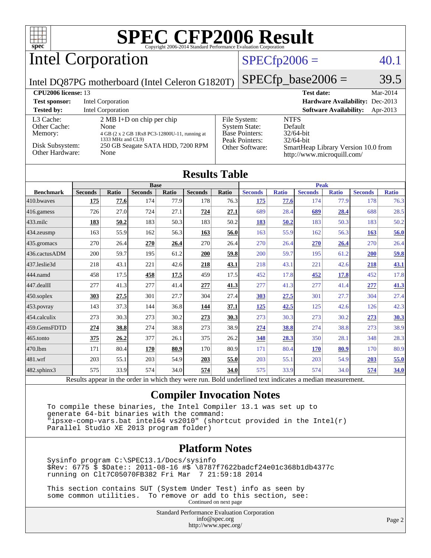Intel Corporation

### $SPECfp2006 = 40.1$  $SPECfp2006 = 40.1$

Intel DQ87PG motherboard (Intel Celeron G1820T)

 $SPECTp\_base2006 = 39.5$ 

| <b>CPU2006 license: 13</b>           |                                                                                                                   |                                                                                 | <b>Test date:</b><br>Mar-2014                                     |
|--------------------------------------|-------------------------------------------------------------------------------------------------------------------|---------------------------------------------------------------------------------|-------------------------------------------------------------------|
| <b>Test sponsor:</b>                 | Intel Corporation                                                                                                 |                                                                                 | Hardware Availability: Dec-2013                                   |
| <b>Tested by:</b>                    | <b>Intel Corporation</b>                                                                                          |                                                                                 | <b>Software Availability:</b><br>Apr-2013                         |
| L3 Cache:<br>Other Cache:<br>Memory: | $2 \text{ MB I+D}$ on chip per chip<br>None<br>4 GB (2 x 2 GB 1Rx8 PC3-12800U-11, running at<br>1333 MHz and CL9) | File System:<br><b>System State:</b><br><b>Base Pointers:</b><br>Peak Pointers: | <b>NTFS</b><br>Default<br>$32/64$ -bit<br>$32/64$ -bit            |
| Disk Subsystem:<br>Other Hardware:   | 250 GB Seagate SATA HDD, 7200 RPM<br>None                                                                         | Other Software:                                                                 | SmartHeap Library Version 10.0 from<br>http://www.microquill.com/ |

| <b>Results Table</b> |  |
|----------------------|--|
|----------------------|--|

|                      | <b>Base</b>    |              |                |       |                | <b>Peak</b> |                |              |                |              |                |              |
|----------------------|----------------|--------------|----------------|-------|----------------|-------------|----------------|--------------|----------------|--------------|----------------|--------------|
| <b>Benchmark</b>     | <b>Seconds</b> | <b>Ratio</b> | <b>Seconds</b> | Ratio | <b>Seconds</b> | Ratio       | <b>Seconds</b> | <b>Ratio</b> | <b>Seconds</b> | <b>Ratio</b> | <b>Seconds</b> | <b>Ratio</b> |
| 410.bwayes           | <u>175</u>     | 77.6         | 174            | 77.9  | 178            | 76.3        | <u>175</u>     | 77.6         | 174            | 77.9         | 178            | 76.3         |
| $ 416$ .gamess       | 726            | 27.0         | 724            | 27.1  | 724            | 27.1        | 689            | 28.4         | 689            | 28.4         | 688            | 28.5         |
| $ 433 \text{.}$ milc | 183            | 50.2         | 183            | 50.3  | 183            | 50.2        | 183            | 50.2         | 183            | 50.3         | 183            | 50.2         |
| $434$ . zeusmp       | 163            | 55.9         | 162            | 56.3  | 163            | 56.0        | 163            | 55.9         | 162            | 56.3         | 163            | 56.0         |
| 435.gromacs          | 270            | 26.4         | 270            | 26.4  | 270            | 26.4        | 270            | 26.4         | 270            | 26.4         | 270            | 26.4         |
| 436.cactusADM        | 200            | 59.7         | 195            | 61.2  | 200            | 59.8        | 200            | 59.7         | 195            | 61.2         | <b>200</b>     | 59.8         |
| 437.leslie3d         | 218            | 43.1         | 221            | 42.6  | 218            | 43.1        | 218            | 43.1         | 221            | 42.6         | 218            | 43.1         |
| 444.namd             | 458            | 17.5         | 458            | 17.5  | 459            | 17.5        | 452            | 17.8         | 452            | 17.8         | 452            | 17.8         |
| $447$ .dealII        | 277            | 41.3         | 277            | 41.4  | 277            | 41.3        | 277            | 41.3         | 277            | 41.4         | 277            | 41.3         |
| $450$ .soplex        | 303            | 27.5         | 301            | 27.7  | 304            | 27.4        | 303            | 27.5         | 301            | 27.7         | 304            | 27.4         |
| $453$ .povray        | 143            | 37.3         | 144            | 36.8  | <u>144</u>     | 37.1        | <u>125</u>     | 42.5         | 125            | 42.6         | 126            | 42.3         |
| 454.calculix         | 273            | 30.3         | 273            | 30.2  | 273            | 30.3        | 273            | 30.3         | 273            | 30.2         | 273            | 30.3         |
| 459.GemsFDTD         | 274            | 38.8         | 274            | 38.8  | 273            | 38.9        | 274            | 38.8         | 274            | 38.8         | 273            | 38.9         |
| 465.tonto            | 375            | 26.2         | 377            | 26.1  | 375            | 26.2        | 348            | 28.3         | 350            | 28.1         | 348            | 28.3         |
| 470.1bm              | 171            | 80.4         | 170            | 80.9  | 170            | 80.9        | 171            | 80.4         | 170            | 80.9         | 170            | 80.9         |
| 481.wrf              | 203            | 55.1         | 203            | 54.9  | 203            | 55.0        | 203            | 55.1         | 203            | 54.9         | <b>203</b>     | 55.0         |
| 482.sphinx3          | 575            | 33.9         | 574            | 34.0  | 574            | 34.0        | 575            | 33.9         | 574            | 34.0         | 574            | 34.0         |

Results appear in the [order in which they were run.](http://www.spec.org/auto/cpu2006/Docs/result-fields.html#RunOrder) Bold underlined text [indicates a median measurement.](http://www.spec.org/auto/cpu2006/Docs/result-fields.html#Median)

#### **[Compiler Invocation Notes](http://www.spec.org/auto/cpu2006/Docs/result-fields.html#CompilerInvocationNotes)**

 To compile these binaries, the Intel Compiler 13.1 was set up to generate 64-bit binaries with the command: "ipsxe-comp-vars.bat intel64 vs2010" (shortcut provided in the Intel(r) Parallel Studio XE 2013 program folder)

#### **[Platform Notes](http://www.spec.org/auto/cpu2006/Docs/result-fields.html#PlatformNotes)**

 Sysinfo program C:\SPEC13.1/Docs/sysinfo \$Rev: 6775 \$ \$Date:: 2011-08-16 #\$ \8787f7622badcf24e01c368b1db4377c running on Clt7C05070FB382 Fri Mar 7 21:59:18 2014

 This section contains SUT (System Under Test) info as seen by some common utilities. To remove or add to this section, see: Continued on next page

> Standard Performance Evaluation Corporation [info@spec.org](mailto:info@spec.org) <http://www.spec.org/>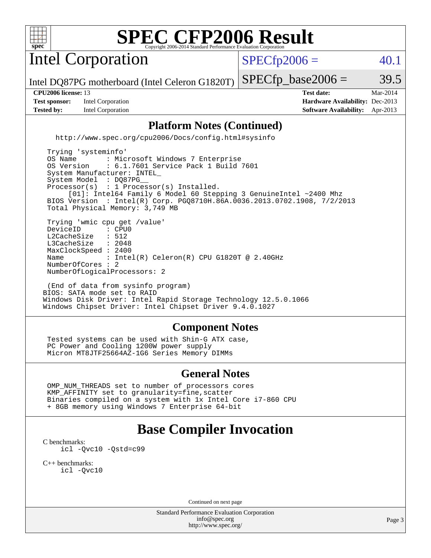

Intel Corporation

 $SPECTp2006 = 40.1$ 

Intel DQ87PG motherboard (Intel Celeron G1820T)

**[Test sponsor:](http://www.spec.org/auto/cpu2006/Docs/result-fields.html#Testsponsor)** Intel Corporation **[Hardware Availability:](http://www.spec.org/auto/cpu2006/Docs/result-fields.html#HardwareAvailability)** Dec-2013 **[Tested by:](http://www.spec.org/auto/cpu2006/Docs/result-fields.html#Testedby)** Intel Corporation **[Software Availability:](http://www.spec.org/auto/cpu2006/Docs/result-fields.html#SoftwareAvailability)** Apr-2013

**[CPU2006 license:](http://www.spec.org/auto/cpu2006/Docs/result-fields.html#CPU2006license)** 13 **[Test date:](http://www.spec.org/auto/cpu2006/Docs/result-fields.html#Testdate)** Mar-2014

 $SPECTp\_base2006 = 39.5$ 

#### **[Platform Notes \(Continued\)](http://www.spec.org/auto/cpu2006/Docs/result-fields.html#PlatformNotes)**

<http://www.spec.org/cpu2006/Docs/config.html#sysinfo>

 Trying 'systeminfo' OS Name : Microsoft Windows 7 Enterprise<br>OS Version : 6.1.7601 Service Pack 1 Build : 6.1.7601 Service Pack 1 Build 7601 System Manufacturer: INTEL\_ System Model : DQ87PG Processor(s) : 1 Processor(s) Installed. [01]: Intel64 Family 6 Model 60 Stepping 3 GenuineIntel ~2400 Mhz BIOS Version : Intel(R) Corp. PGQ8710H.86A.0036.2013.0702.1908, 7/2/2013 Total Physical Memory: 3,749 MB Trying 'wmic cpu get /value' DeviceID : CPU<br>L2CacheSize : 512 L2CacheSize : 512<br>L3CacheSize : 2048 L3CacheSize MaxClockSpeed : 2400 Name : Intel(R) Celeron(R) CPU G1820T @ 2.40GHz NumberOfCores : 2 NumberOfLogicalProcessors: 2

 (End of data from sysinfo program) BIOS: SATA mode set to RAID Windows Disk Driver: Intel Rapid Storage Technology 12.5.0.1066 Windows Chipset Driver: Intel Chipset Driver 9.4.0.1027

#### **[Component Notes](http://www.spec.org/auto/cpu2006/Docs/result-fields.html#ComponentNotes)**

 Tested systems can be used with Shin-G ATX case, PC Power and Cooling 1200W power supply Micron MT8JTF25664AZ-1G6 Series Memory DIMMs

#### **[General Notes](http://www.spec.org/auto/cpu2006/Docs/result-fields.html#GeneralNotes)**

 OMP\_NUM\_THREADS set to number of processors cores KMP\_AFFINITY set to granularity=fine,scatter Binaries compiled on a system with 1x Intel Core i7-860 CPU + 8GB memory using Windows 7 Enterprise 64-bit

## **[Base Compiler Invocation](http://www.spec.org/auto/cpu2006/Docs/result-fields.html#BaseCompilerInvocation)**

[C benchmarks](http://www.spec.org/auto/cpu2006/Docs/result-fields.html#Cbenchmarks): [icl -Qvc10](http://www.spec.org/cpu2006/results/res2014q3/cpu2006-20140701-30178.flags.html#user_CCbase_intel_icc_vc10_9607f3ecbcdf68042245f068e51b40c1) [-Qstd=c99](http://www.spec.org/cpu2006/results/res2014q3/cpu2006-20140701-30178.flags.html#user_CCbase_intel_compiler_c99_mode_1a3d110e3041b3ad4466830521bdad2a)

[C++ benchmarks:](http://www.spec.org/auto/cpu2006/Docs/result-fields.html#CXXbenchmarks) [icl -Qvc10](http://www.spec.org/cpu2006/results/res2014q3/cpu2006-20140701-30178.flags.html#user_CXXbase_intel_icc_vc10_9607f3ecbcdf68042245f068e51b40c1)

Continued on next page

Standard Performance Evaluation Corporation [info@spec.org](mailto:info@spec.org) <http://www.spec.org/>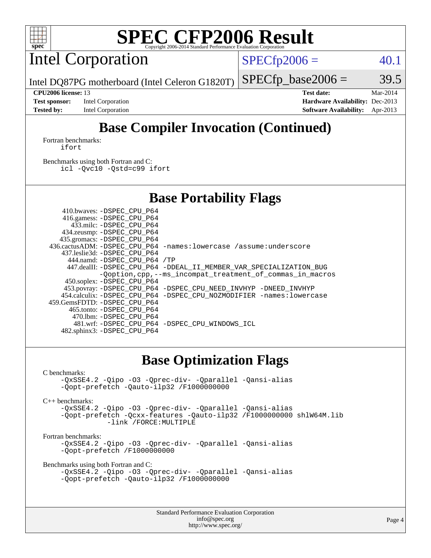

Intel Corporation

 $SPECTp2006 = 40.1$ 

Intel DQ87PG motherboard (Intel Celeron G1820T)

**[Test sponsor:](http://www.spec.org/auto/cpu2006/Docs/result-fields.html#Testsponsor)** Intel Corporation **[Hardware Availability:](http://www.spec.org/auto/cpu2006/Docs/result-fields.html#HardwareAvailability)** Dec-2013 **[Tested by:](http://www.spec.org/auto/cpu2006/Docs/result-fields.html#Testedby)** Intel Corporation **[Software Availability:](http://www.spec.org/auto/cpu2006/Docs/result-fields.html#SoftwareAvailability)** Apr-2013

**[CPU2006 license:](http://www.spec.org/auto/cpu2006/Docs/result-fields.html#CPU2006license)** 13 **[Test date:](http://www.spec.org/auto/cpu2006/Docs/result-fields.html#Testdate)** Mar-2014

 $SPECTp\_base2006 = 39.5$ 

# **[Base Compiler Invocation \(Continued\)](http://www.spec.org/auto/cpu2006/Docs/result-fields.html#BaseCompilerInvocation)**

[Fortran benchmarks](http://www.spec.org/auto/cpu2006/Docs/result-fields.html#Fortranbenchmarks): [ifort](http://www.spec.org/cpu2006/results/res2014q3/cpu2006-20140701-30178.flags.html#user_FCbase_intel_ifort_8a5e5e06b19a251bdeaf8fdab5d62f20)

[Benchmarks using both Fortran and C](http://www.spec.org/auto/cpu2006/Docs/result-fields.html#BenchmarksusingbothFortranandC): [icl -Qvc10](http://www.spec.org/cpu2006/results/res2014q3/cpu2006-20140701-30178.flags.html#user_CC_FCbase_intel_icc_vc10_9607f3ecbcdf68042245f068e51b40c1) [-Qstd=c99](http://www.spec.org/cpu2006/results/res2014q3/cpu2006-20140701-30178.flags.html#user_CC_FCbase_intel_compiler_c99_mode_1a3d110e3041b3ad4466830521bdad2a) [ifort](http://www.spec.org/cpu2006/results/res2014q3/cpu2006-20140701-30178.flags.html#user_CC_FCbase_intel_ifort_8a5e5e06b19a251bdeaf8fdab5d62f20)

## **[Base Portability Flags](http://www.spec.org/auto/cpu2006/Docs/result-fields.html#BasePortabilityFlags)**

| 410.bwaves: -DSPEC CPU P64   |                                                                       |
|------------------------------|-----------------------------------------------------------------------|
| 416.gamess: -DSPEC_CPU_P64   |                                                                       |
| 433.milc: -DSPEC CPU P64     |                                                                       |
| 434.zeusmp: - DSPEC_CPU_P64  |                                                                       |
| 435.gromacs: -DSPEC_CPU_P64  |                                                                       |
|                              | 436.cactusADM: -DSPEC CPU P64 -names: lowercase /assume: underscore   |
| 437.leslie3d: -DSPEC CPU P64 |                                                                       |
| 444.namd: -DSPEC CPU P64 /TP |                                                                       |
|                              | 447.dealII: -DSPEC_CPU_P64 -DDEAL_II_MEMBER_VAR_SPECIALIZATION_BUG    |
|                              | -Qoption, cpp, --ms_incompat_treatment_of_commas_in_macros            |
| 450.soplex: -DSPEC_CPU_P64   |                                                                       |
|                              | 453.povray: -DSPEC_CPU_P64 -DSPEC_CPU_NEED_INVHYP -DNEED_INVHYP       |
|                              | 454.calculix: -DSPEC CPU P64 -DSPEC CPU NOZMODIFIER -names: lowercase |
| 459.GemsFDTD: -DSPEC CPU P64 |                                                                       |
| 465.tonto: -DSPEC CPU P64    |                                                                       |
| 470.1bm: -DSPEC CPU P64      |                                                                       |
|                              | 481.wrf: -DSPEC CPU P64 -DSPEC CPU WINDOWS ICL                        |
| 482.sphinx3: -DSPEC_CPU_P64  |                                                                       |

### **[Base Optimization Flags](http://www.spec.org/auto/cpu2006/Docs/result-fields.html#BaseOptimizationFlags)**

[C benchmarks](http://www.spec.org/auto/cpu2006/Docs/result-fields.html#Cbenchmarks):

[-QxSSE4.2](http://www.spec.org/cpu2006/results/res2014q3/cpu2006-20140701-30178.flags.html#user_CCbase_f-QxSSE42_372695bbe211719895df0310b324a1ca) [-Qipo](http://www.spec.org/cpu2006/results/res2014q3/cpu2006-20140701-30178.flags.html#user_CCbase_f-Qipo) [-O3](http://www.spec.org/cpu2006/results/res2014q3/cpu2006-20140701-30178.flags.html#user_CCbase_f-O3) [-Qprec-div-](http://www.spec.org/cpu2006/results/res2014q3/cpu2006-20140701-30178.flags.html#user_CCbase_f-Qprec-div-) [-Qparallel](http://www.spec.org/cpu2006/results/res2014q3/cpu2006-20140701-30178.flags.html#user_CCbase_f-Qparallel) [-Qansi-alias](http://www.spec.org/cpu2006/results/res2014q3/cpu2006-20140701-30178.flags.html#user_CCbase_f-Qansi-alias) [-Qopt-prefetch](http://www.spec.org/cpu2006/results/res2014q3/cpu2006-20140701-30178.flags.html#user_CCbase_f-Qprefetch_37c211608666b9dff9380561f602f0a8) [-Qauto-ilp32](http://www.spec.org/cpu2006/results/res2014q3/cpu2006-20140701-30178.flags.html#user_CCbase_f-Qauto-ilp32) [/F1000000000](http://www.spec.org/cpu2006/results/res2014q3/cpu2006-20140701-30178.flags.html#user_CCbase_set_stack_space_25d7749c1988d91b7f93afbc0ec53727)

[C++ benchmarks:](http://www.spec.org/auto/cpu2006/Docs/result-fields.html#CXXbenchmarks)

[-QxSSE4.2](http://www.spec.org/cpu2006/results/res2014q3/cpu2006-20140701-30178.flags.html#user_CXXbase_f-QxSSE42_372695bbe211719895df0310b324a1ca) [-Qipo](http://www.spec.org/cpu2006/results/res2014q3/cpu2006-20140701-30178.flags.html#user_CXXbase_f-Qipo) [-O3](http://www.spec.org/cpu2006/results/res2014q3/cpu2006-20140701-30178.flags.html#user_CXXbase_f-O3) [-Qprec-div-](http://www.spec.org/cpu2006/results/res2014q3/cpu2006-20140701-30178.flags.html#user_CXXbase_f-Qprec-div-) [-Qparallel](http://www.spec.org/cpu2006/results/res2014q3/cpu2006-20140701-30178.flags.html#user_CXXbase_f-Qparallel) [-Qansi-alias](http://www.spec.org/cpu2006/results/res2014q3/cpu2006-20140701-30178.flags.html#user_CXXbase_f-Qansi-alias) [-Qopt-prefetch](http://www.spec.org/cpu2006/results/res2014q3/cpu2006-20140701-30178.flags.html#user_CXXbase_f-Qprefetch_37c211608666b9dff9380561f602f0a8) [-Qcxx-features](http://www.spec.org/cpu2006/results/res2014q3/cpu2006-20140701-30178.flags.html#user_CXXbase_f-Qcxx_features_dbf36c8a6dba956e22f1645e4dcd4d98) [-Qauto-ilp32](http://www.spec.org/cpu2006/results/res2014q3/cpu2006-20140701-30178.flags.html#user_CXXbase_f-Qauto-ilp32) [/F1000000000](http://www.spec.org/cpu2006/results/res2014q3/cpu2006-20140701-30178.flags.html#user_CXXbase_set_stack_space_25d7749c1988d91b7f93afbc0ec53727) [shlW64M.lib](http://www.spec.org/cpu2006/results/res2014q3/cpu2006-20140701-30178.flags.html#user_CXXbase_SmartHeap64_c4f7f76711bdf8c0633a5c1edf6e5396)  [-link /FORCE:MULTIPLE](http://www.spec.org/cpu2006/results/res2014q3/cpu2006-20140701-30178.flags.html#user_CXXbase_link_force_multiple2_070fe330869edf77077b841074b8b0b6)

[Fortran benchmarks](http://www.spec.org/auto/cpu2006/Docs/result-fields.html#Fortranbenchmarks):

[-QxSSE4.2](http://www.spec.org/cpu2006/results/res2014q3/cpu2006-20140701-30178.flags.html#user_FCbase_f-QxSSE42_372695bbe211719895df0310b324a1ca) [-Qipo](http://www.spec.org/cpu2006/results/res2014q3/cpu2006-20140701-30178.flags.html#user_FCbase_f-Qipo) [-O3](http://www.spec.org/cpu2006/results/res2014q3/cpu2006-20140701-30178.flags.html#user_FCbase_f-O3) [-Qprec-div-](http://www.spec.org/cpu2006/results/res2014q3/cpu2006-20140701-30178.flags.html#user_FCbase_f-Qprec-div-) [-Qparallel](http://www.spec.org/cpu2006/results/res2014q3/cpu2006-20140701-30178.flags.html#user_FCbase_f-Qparallel) [-Qansi-alias](http://www.spec.org/cpu2006/results/res2014q3/cpu2006-20140701-30178.flags.html#user_FCbase_f-Qansi-alias) [-Qopt-prefetch](http://www.spec.org/cpu2006/results/res2014q3/cpu2006-20140701-30178.flags.html#user_FCbase_f-Qprefetch_37c211608666b9dff9380561f602f0a8) [/F1000000000](http://www.spec.org/cpu2006/results/res2014q3/cpu2006-20140701-30178.flags.html#user_FCbase_set_stack_space_25d7749c1988d91b7f93afbc0ec53727)

[Benchmarks using both Fortran and C](http://www.spec.org/auto/cpu2006/Docs/result-fields.html#BenchmarksusingbothFortranandC):

```
-QxSSE4.2 -Qipo -O3 -Qprec-div- -Qparallel -Qansi-alias
-Qopt-prefetch -Qauto-ilp32 /F1000000000
```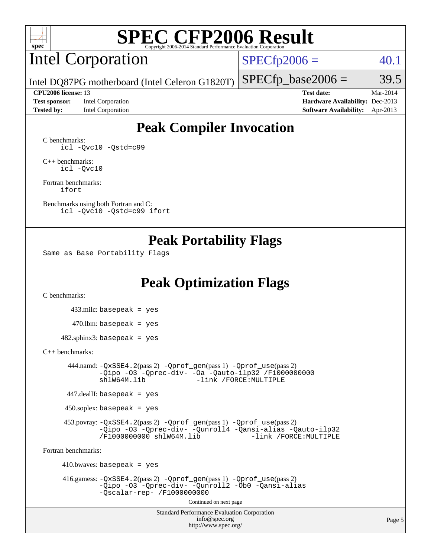

# Intel Corporation

 $SPECfp2006 = 40.1$  $SPECfp2006 = 40.1$ 

Intel DQ87PG motherboard (Intel Celeron G1820T)

**[Test sponsor:](http://www.spec.org/auto/cpu2006/Docs/result-fields.html#Testsponsor)** Intel Corporation **[Hardware Availability:](http://www.spec.org/auto/cpu2006/Docs/result-fields.html#HardwareAvailability)** Dec-2013

**[CPU2006 license:](http://www.spec.org/auto/cpu2006/Docs/result-fields.html#CPU2006license)** 13 **[Test date:](http://www.spec.org/auto/cpu2006/Docs/result-fields.html#Testdate)** Mar-2014 **[Tested by:](http://www.spec.org/auto/cpu2006/Docs/result-fields.html#Testedby)** Intel Corporation **[Software Availability:](http://www.spec.org/auto/cpu2006/Docs/result-fields.html#SoftwareAvailability)** Apr-2013

 $SPECTp\_base2006 = 39.5$ 

## **[Peak Compiler Invocation](http://www.spec.org/auto/cpu2006/Docs/result-fields.html#PeakCompilerInvocation)**

[C benchmarks](http://www.spec.org/auto/cpu2006/Docs/result-fields.html#Cbenchmarks): [icl -Qvc10](http://www.spec.org/cpu2006/results/res2014q3/cpu2006-20140701-30178.flags.html#user_CCpeak_intel_icc_vc10_9607f3ecbcdf68042245f068e51b40c1) [-Qstd=c99](http://www.spec.org/cpu2006/results/res2014q3/cpu2006-20140701-30178.flags.html#user_CCpeak_intel_compiler_c99_mode_1a3d110e3041b3ad4466830521bdad2a)

[C++ benchmarks:](http://www.spec.org/auto/cpu2006/Docs/result-fields.html#CXXbenchmarks) [icl -Qvc10](http://www.spec.org/cpu2006/results/res2014q3/cpu2006-20140701-30178.flags.html#user_CXXpeak_intel_icc_vc10_9607f3ecbcdf68042245f068e51b40c1)

[Fortran benchmarks](http://www.spec.org/auto/cpu2006/Docs/result-fields.html#Fortranbenchmarks): [ifort](http://www.spec.org/cpu2006/results/res2014q3/cpu2006-20140701-30178.flags.html#user_FCpeak_intel_ifort_8a5e5e06b19a251bdeaf8fdab5d62f20)

[Benchmarks using both Fortran and C](http://www.spec.org/auto/cpu2006/Docs/result-fields.html#BenchmarksusingbothFortranandC): [icl -Qvc10](http://www.spec.org/cpu2006/results/res2014q3/cpu2006-20140701-30178.flags.html#user_CC_FCpeak_intel_icc_vc10_9607f3ecbcdf68042245f068e51b40c1) [-Qstd=c99](http://www.spec.org/cpu2006/results/res2014q3/cpu2006-20140701-30178.flags.html#user_CC_FCpeak_intel_compiler_c99_mode_1a3d110e3041b3ad4466830521bdad2a) [ifort](http://www.spec.org/cpu2006/results/res2014q3/cpu2006-20140701-30178.flags.html#user_CC_FCpeak_intel_ifort_8a5e5e06b19a251bdeaf8fdab5d62f20)

### **[Peak Portability Flags](http://www.spec.org/auto/cpu2006/Docs/result-fields.html#PeakPortabilityFlags)**

Same as Base Portability Flags

## **[Peak Optimization Flags](http://www.spec.org/auto/cpu2006/Docs/result-fields.html#PeakOptimizationFlags)**

[C benchmarks](http://www.spec.org/auto/cpu2006/Docs/result-fields.html#Cbenchmarks):

 433.milc: basepeak = yes  $470.1$ bm: basepeak = yes  $482$ .sphinx3: basepeak = yes

#### [C++ benchmarks:](http://www.spec.org/auto/cpu2006/Docs/result-fields.html#CXXbenchmarks)

 444.namd: [-QxSSE4.2](http://www.spec.org/cpu2006/results/res2014q3/cpu2006-20140701-30178.flags.html#user_peakPASS2_CXXFLAGSPASS2_LDFLAGS444_namd_f-QxSSE42_372695bbe211719895df0310b324a1ca)(pass 2) [-Qprof\\_gen](http://www.spec.org/cpu2006/results/res2014q3/cpu2006-20140701-30178.flags.html#user_peakPASS1_CXXFLAGSPASS1_LDFLAGS444_namd_Qprof_gen)(pass 1) [-Qprof\\_use](http://www.spec.org/cpu2006/results/res2014q3/cpu2006-20140701-30178.flags.html#user_peakPASS2_CXXFLAGSPASS2_LDFLAGS444_namd_Qprof_use)(pass 2) [-Qipo](http://www.spec.org/cpu2006/results/res2014q3/cpu2006-20140701-30178.flags.html#user_peakOPTIMIZE444_namd_f-Qipo) [-O3](http://www.spec.org/cpu2006/results/res2014q3/cpu2006-20140701-30178.flags.html#user_peakOPTIMIZE444_namd_f-O3) [-Qprec-div-](http://www.spec.org/cpu2006/results/res2014q3/cpu2006-20140701-30178.flags.html#user_peakOPTIMIZE444_namd_f-Qprec-div-) [-Oa](http://www.spec.org/cpu2006/results/res2014q3/cpu2006-20140701-30178.flags.html#user_peakOPTIMIZE444_namd_f-Oa) [-Qauto-ilp32](http://www.spec.org/cpu2006/results/res2014q3/cpu2006-20140701-30178.flags.html#user_peakCXXOPTIMIZE444_namd_f-Qauto-ilp32) [/F1000000000](http://www.spec.org/cpu2006/results/res2014q3/cpu2006-20140701-30178.flags.html#user_peakEXTRA_LDFLAGS444_namd_set_stack_space_25d7749c1988d91b7f93afbc0ec53727) -link /FORCE: MULTIPLE

447.dealII: basepeak = yes

 $450$ .soplex: basepeak = yes

 453.povray: [-QxSSE4.2](http://www.spec.org/cpu2006/results/res2014q3/cpu2006-20140701-30178.flags.html#user_peakPASS2_CXXFLAGSPASS2_LDFLAGS453_povray_f-QxSSE42_372695bbe211719895df0310b324a1ca)(pass 2) [-Qprof\\_gen](http://www.spec.org/cpu2006/results/res2014q3/cpu2006-20140701-30178.flags.html#user_peakPASS1_CXXFLAGSPASS1_LDFLAGS453_povray_Qprof_gen)(pass 1) [-Qprof\\_use](http://www.spec.org/cpu2006/results/res2014q3/cpu2006-20140701-30178.flags.html#user_peakPASS2_CXXFLAGSPASS2_LDFLAGS453_povray_Qprof_use)(pass 2) [-Qipo](http://www.spec.org/cpu2006/results/res2014q3/cpu2006-20140701-30178.flags.html#user_peakOPTIMIZE453_povray_f-Qipo) [-O3](http://www.spec.org/cpu2006/results/res2014q3/cpu2006-20140701-30178.flags.html#user_peakOPTIMIZE453_povray_f-O3) [-Qprec-div-](http://www.spec.org/cpu2006/results/res2014q3/cpu2006-20140701-30178.flags.html#user_peakOPTIMIZE453_povray_f-Qprec-div-) [-Qunroll4](http://www.spec.org/cpu2006/results/res2014q3/cpu2006-20140701-30178.flags.html#user_peakOPTIMIZE453_povray_f-Qunroll_013b1c0ea3aa84ef2c65e488bcc3d968) [-Qansi-alias](http://www.spec.org/cpu2006/results/res2014q3/cpu2006-20140701-30178.flags.html#user_peakOPTIMIZE453_povray_f-Qansi-alias) [-Qauto-ilp32](http://www.spec.org/cpu2006/results/res2014q3/cpu2006-20140701-30178.flags.html#user_peakCXXOPTIMIZE453_povray_f-Qauto-ilp32) [/F1000000000](http://www.spec.org/cpu2006/results/res2014q3/cpu2006-20140701-30178.flags.html#user_peakEXTRA_LDFLAGS453_povray_set_stack_space_25d7749c1988d91b7f93afbc0ec53727) [shlW64M.lib](http://www.spec.org/cpu2006/results/res2014q3/cpu2006-20140701-30178.flags.html#user_peakEXTRA_LIBS453_povray_SmartHeap64_c4f7f76711bdf8c0633a5c1edf6e5396)

[Fortran benchmarks](http://www.spec.org/auto/cpu2006/Docs/result-fields.html#Fortranbenchmarks):

 $410.bwaves: basepeak = yes$  416.gamess: [-QxSSE4.2](http://www.spec.org/cpu2006/results/res2014q3/cpu2006-20140701-30178.flags.html#user_peakPASS2_FFLAGSPASS2_LDFLAGS416_gamess_f-QxSSE42_372695bbe211719895df0310b324a1ca)(pass 2) [-Qprof\\_gen](http://www.spec.org/cpu2006/results/res2014q3/cpu2006-20140701-30178.flags.html#user_peakPASS1_FFLAGSPASS1_LDFLAGS416_gamess_Qprof_gen)(pass 1) [-Qprof\\_use](http://www.spec.org/cpu2006/results/res2014q3/cpu2006-20140701-30178.flags.html#user_peakPASS2_FFLAGSPASS2_LDFLAGS416_gamess_Qprof_use)(pass 2) [-Qipo](http://www.spec.org/cpu2006/results/res2014q3/cpu2006-20140701-30178.flags.html#user_peakOPTIMIZE416_gamess_f-Qipo) [-O3](http://www.spec.org/cpu2006/results/res2014q3/cpu2006-20140701-30178.flags.html#user_peakOPTIMIZE416_gamess_f-O3) [-Qprec-div-](http://www.spec.org/cpu2006/results/res2014q3/cpu2006-20140701-30178.flags.html#user_peakOPTIMIZE416_gamess_f-Qprec-div-) [-Qunroll2](http://www.spec.org/cpu2006/results/res2014q3/cpu2006-20140701-30178.flags.html#user_peakOPTIMIZE416_gamess_f-Qunroll_1d9456aa650e77fc2a0cf43cef3fa08c) [-Ob0](http://www.spec.org/cpu2006/results/res2014q3/cpu2006-20140701-30178.flags.html#user_peakOPTIMIZE416_gamess_f-Ob_n_fbe6f6428adb7d4b74b1e99bb2444c2d) [-Qansi-alias](http://www.spec.org/cpu2006/results/res2014q3/cpu2006-20140701-30178.flags.html#user_peakOPTIMIZE416_gamess_f-Qansi-alias) [-Qscalar-rep-](http://www.spec.org/cpu2006/results/res2014q3/cpu2006-20140701-30178.flags.html#user_peakOPTIMIZE416_gamess_f-Qscalar-rep_02cb9e11a5340d80ab3062d84e5dfb2e) [/F1000000000](http://www.spec.org/cpu2006/results/res2014q3/cpu2006-20140701-30178.flags.html#user_peakEXTRA_LDFLAGS416_gamess_set_stack_space_25d7749c1988d91b7f93afbc0ec53727) Continued on next page

> Standard Performance Evaluation Corporation [info@spec.org](mailto:info@spec.org) <http://www.spec.org/>